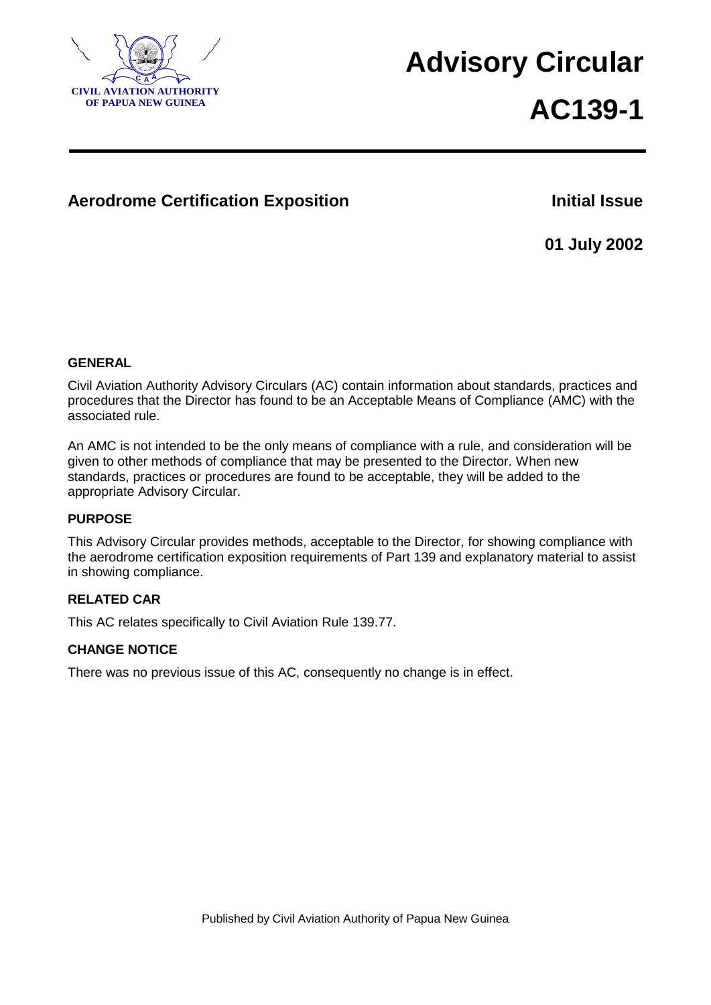

# **<sup>A</sup> Advisory Circular**

# **AC139-1**

### **Aerodrome Certification Exposition Initial Issue**

**01 July 2002**

#### **GENERAL**

Civil Aviation Authority Advisory Circulars (AC) contain information about standards, practices and procedures that the Director has found to be an Acceptable Means of Compliance (AMC) with the associated rule.

An AMC is not intended to be the only means of compliance with a rule, and consideration will be given to other methods of compliance that may be presented to the Director. When new standards, practices or procedures are found to be acceptable, they will be added to the appropriate Advisory Circular.

#### **PURPOSE**

This Advisory Circular provides methods, acceptable to the Director, for showing compliance with the aerodrome certification exposition requirements of Part 139 and explanatory material to assist in showing compliance.

#### **RELATED CAR**

This AC relates specifically to Civil Aviation Rule 139.77.

#### **CHANGE NOTICE**

There was no previous issue of this AC, consequently no change is in effect.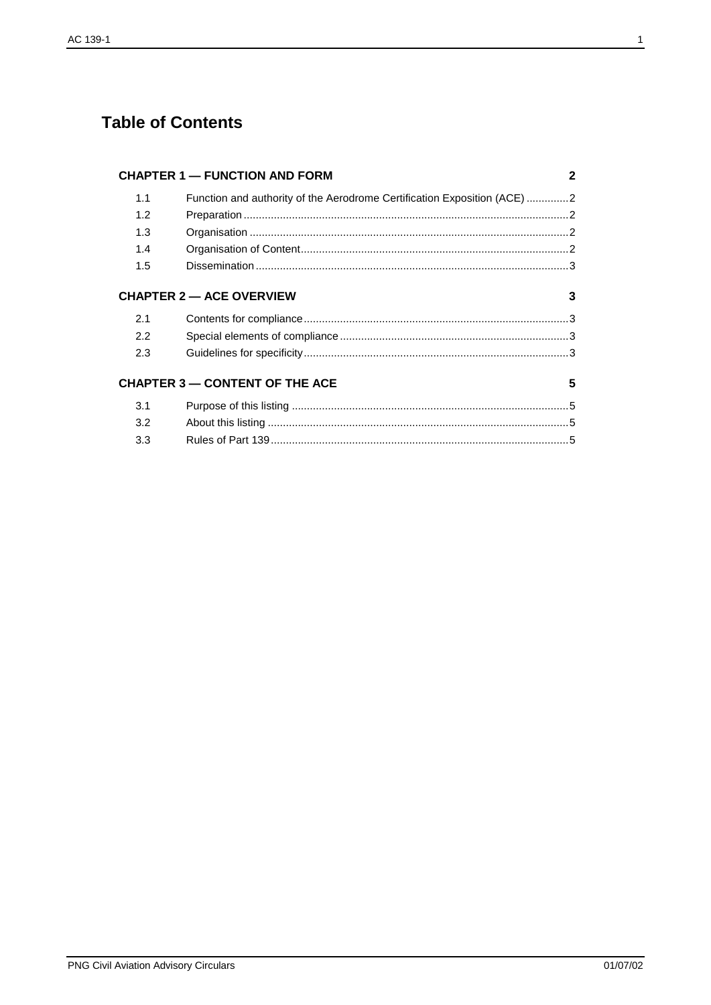# **Table of Contents**

|     | <b>CHAPTER 1 - FUNCTION AND FORM</b>                                     | 2 |
|-----|--------------------------------------------------------------------------|---|
| 1.1 | Function and authority of the Aerodrome Certification Exposition (ACE) 2 |   |
| 1.2 |                                                                          |   |
| 1.3 |                                                                          |   |
| 1.4 |                                                                          |   |
| 1.5 |                                                                          |   |
|     | <b>CHAPTER 2 - ACE OVERVIEW</b>                                          | 3 |
| 2.1 |                                                                          |   |
| 2.2 |                                                                          |   |
| 2.3 |                                                                          |   |
|     | <b>CHAPTER 3 - CONTENT OF THE ACE</b>                                    | 5 |
| 3.1 |                                                                          |   |
| 3.2 |                                                                          |   |
| 3.3 |                                                                          |   |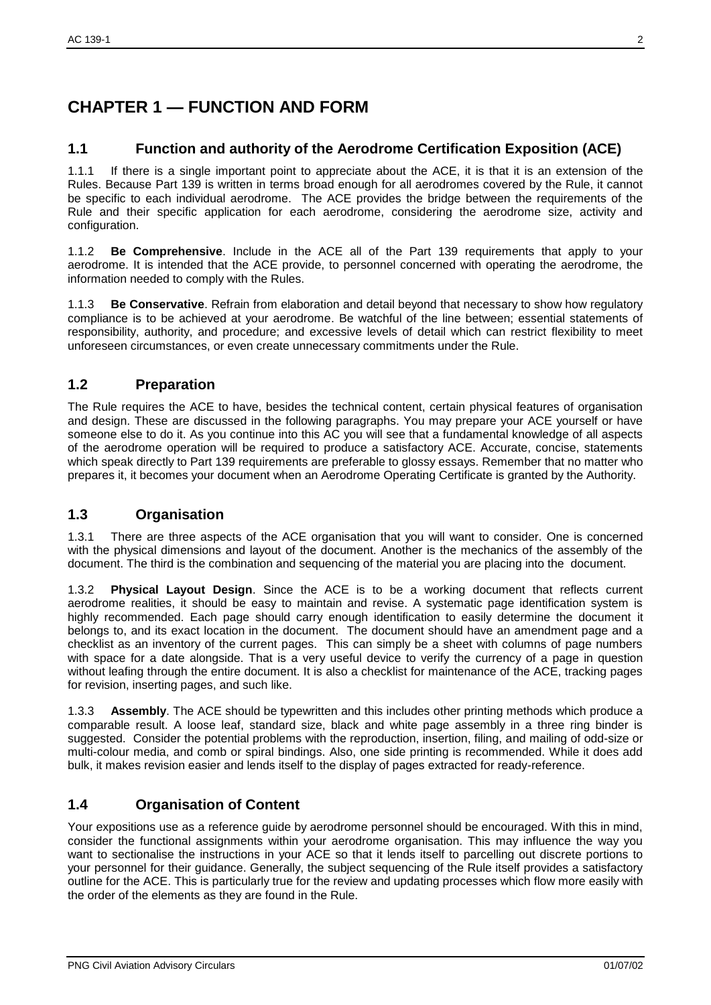# **CHAPTER 1 — FUNCTION AND FORM**

#### **1.1 Function and authority of the Aerodrome Certification Exposition (ACE)**

1.1.1 If there is a single important point to appreciate about the ACE, it is that it is an extension of the Rules. Because Part 139 is written in terms broad enough for all aerodromes covered by the Rule, it cannot be specific to each individual aerodrome. The ACE provides the bridge between the requirements of the Rule and their specific application for each aerodrome, considering the aerodrome size, activity and configuration.

1.1.2 **Be Comprehensive**. Include in the ACE all of the Part 139 requirements that apply to your aerodrome. It is intended that the ACE provide, to personnel concerned with operating the aerodrome, the information needed to comply with the Rules.

1.1.3 **Be Conservative**. Refrain from elaboration and detail beyond that necessary to show how regulatory compliance is to be achieved at your aerodrome. Be watchful of the line between; essential statements of responsibility, authority, and procedure; and excessive levels of detail which can restrict flexibility to meet unforeseen circumstances, or even create unnecessary commitments under the Rule.

#### **1.2 Preparation**

The Rule requires the ACE to have, besides the technical content, certain physical features of organisation and design. These are discussed in the following paragraphs. You may prepare your ACE yourself or have someone else to do it. As you continue into this AC you will see that a fundamental knowledge of all aspects of the aerodrome operation will be required to produce a satisfactory ACE. Accurate, concise, statements which speak directly to Part 139 requirements are preferable to glossy essays. Remember that no matter who prepares it, it becomes your document when an Aerodrome Operating Certificate is granted by the Authority.

#### **1.3 Organisation**

1.3.1 There are three aspects of the ACE organisation that you will want to consider. One is concerned with the physical dimensions and layout of the document. Another is the mechanics of the assembly of the document. The third is the combination and sequencing of the material you are placing into the document.

1.3.2 **Physical Layout Design**. Since the ACE is to be a working document that reflects current aerodrome realities, it should be easy to maintain and revise. A systematic page identification system is highly recommended. Each page should carry enough identification to easily determine the document it belongs to, and its exact location in the document. The document should have an amendment page and a checklist as an inventory of the current pages. This can simply be a sheet with columns of page numbers with space for a date alongside. That is a very useful device to verify the currency of a page in question without leafing through the entire document. It is also a checklist for maintenance of the ACE, tracking pages for revision, inserting pages, and such like.

1.3.3 **Assembly**. The ACE should be typewritten and this includes other printing methods which produce a comparable result. A loose leaf, standard size, black and white page assembly in a three ring binder is suggested. Consider the potential problems with the reproduction, insertion, filing, and mailing of odd-size or multi-colour media, and comb or spiral bindings. Also, one side printing is recommended. While it does add bulk, it makes revision easier and lends itself to the display of pages extracted for ready-reference.

#### **1.4 Organisation of Content**

Your expositions use as a reference guide by aerodrome personnel should be encouraged. With this in mind, consider the functional assignments within your aerodrome organisation. This may influence the way you want to sectionalise the instructions in your ACE so that it lends itself to parcelling out discrete portions to your personnel for their guidance. Generally, the subject sequencing of the Rule itself provides a satisfactory outline for the ACE. This is particularly true for the review and updating processes which flow more easily with the order of the elements as they are found in the Rule.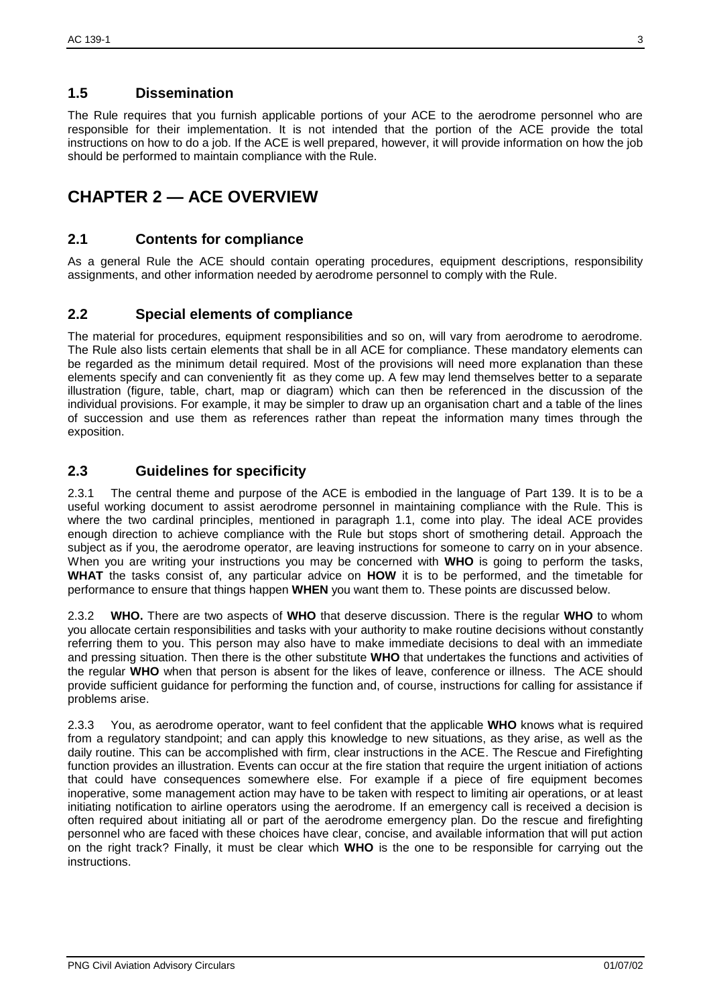#### **1.5 Dissemination**

The Rule requires that you furnish applicable portions of your ACE to the aerodrome personnel who are responsible for their implementation. It is not intended that the portion of the ACE provide the total instructions on how to do a job. If the ACE is well prepared, however, it will provide information on how the job should be performed to maintain compliance with the Rule.

## **CHAPTER 2 — ACE OVERVIEW**

#### **2.1 Contents for compliance**

As a general Rule the ACE should contain operating procedures, equipment descriptions, responsibility assignments, and other information needed by aerodrome personnel to comply with the Rule.

#### **2.2 Special elements of compliance**

The material for procedures, equipment responsibilities and so on, will vary from aerodrome to aerodrome. The Rule also lists certain elements that shall be in all ACE for compliance. These mandatory elements can be regarded as the minimum detail required. Most of the provisions will need more explanation than these elements specify and can conveniently fit as they come up. A few may lend themselves better to a separate illustration (figure, table, chart, map or diagram) which can then be referenced in the discussion of the individual provisions. For example, it may be simpler to draw up an organisation chart and a table of the lines of succession and use them as references rather than repeat the information many times through the exposition.

#### **2.3 Guidelines for specificity**

2.3.1 The central theme and purpose of the ACE is embodied in the language of Part 139. It is to be a useful working document to assist aerodrome personnel in maintaining compliance with the Rule. This is where the two cardinal principles, mentioned in paragraph 1.1, come into play. The ideal ACE provides enough direction to achieve compliance with the Rule but stops short of smothering detail. Approach the subject as if you, the aerodrome operator, are leaving instructions for someone to carry on in your absence. When you are writing your instructions you may be concerned with **WHO** is going to perform the tasks, **WHAT** the tasks consist of, any particular advice on **HOW** it is to be performed, and the timetable for performance to ensure that things happen **WHEN** you want them to. These points are discussed below.

2.3.2 **WHO.** There are two aspects of **WHO** that deserve discussion. There is the regular **WHO** to whom you allocate certain responsibilities and tasks with your authority to make routine decisions without constantly referring them to you. This person may also have to make immediate decisions to deal with an immediate and pressing situation. Then there is the other substitute **WHO** that undertakes the functions and activities of the regular **WHO** when that person is absent for the likes of leave, conference or illness. The ACE should provide sufficient guidance for performing the function and, of course, instructions for calling for assistance if problems arise.

2.3.3 You, as aerodrome operator, want to feel confident that the applicable **WHO** knows what is required from a regulatory standpoint; and can apply this knowledge to new situations, as they arise, as well as the daily routine. This can be accomplished with firm, clear instructions in the ACE. The Rescue and Firefighting function provides an illustration. Events can occur at the fire station that require the urgent initiation of actions that could have consequences somewhere else. For example if a piece of fire equipment becomes inoperative, some management action may have to be taken with respect to limiting air operations, or at least initiating notification to airline operators using the aerodrome. If an emergency call is received a decision is often required about initiating all or part of the aerodrome emergency plan. Do the rescue and firefighting personnel who are faced with these choices have clear, concise, and available information that will put action on the right track? Finally, it must be clear which **WHO** is the one to be responsible for carrying out the instructions.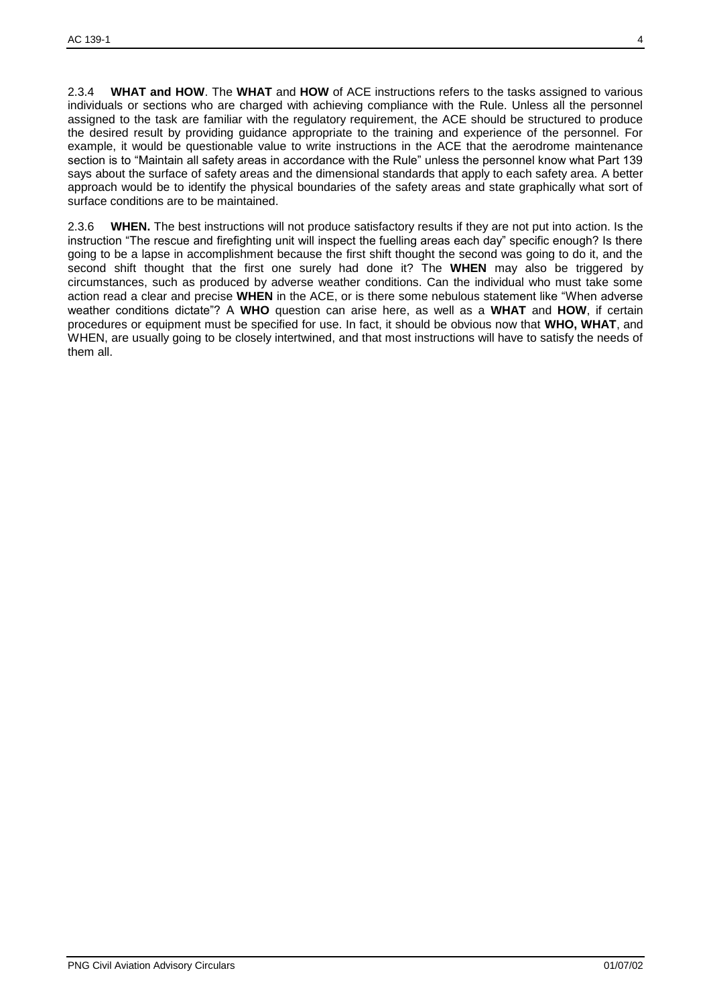2.3.4 **WHAT and HOW**. The **WHAT** and **HOW** of ACE instructions refers to the tasks assigned to various individuals or sections who are charged with achieving compliance with the Rule. Unless all the personnel assigned to the task are familiar with the regulatory requirement, the ACE should be structured to produce the desired result by providing guidance appropriate to the training and experience of the personnel. For example, it would be questionable value to write instructions in the ACE that the aerodrome maintenance section is to "Maintain all safety areas in accordance with the Rule" unless the personnel know what Part 139 says about the surface of safety areas and the dimensional standards that apply to each safety area. A better approach would be to identify the physical boundaries of the safety areas and state graphically what sort of surface conditions are to be maintained.

2.3.6 **WHEN.** The best instructions will not produce satisfactory results if they are not put into action. Is the instruction "The rescue and firefighting unit will inspect the fuelling areas each day" specific enough? Is there going to be a lapse in accomplishment because the first shift thought the second was going to do it, and the second shift thought that the first one surely had done it? The **WHEN** may also be triggered by circumstances, such as produced by adverse weather conditions. Can the individual who must take some action read a clear and precise **WHEN** in the ACE, or is there some nebulous statement like "When adverse weather conditions dictate"? A **WHO** question can arise here, as well as a **WHAT** and **HOW**, if certain procedures or equipment must be specified for use. In fact, it should be obvious now that **WHO, WHAT**, and WHEN, are usually going to be closely intertwined, and that most instructions will have to satisfy the needs of them all.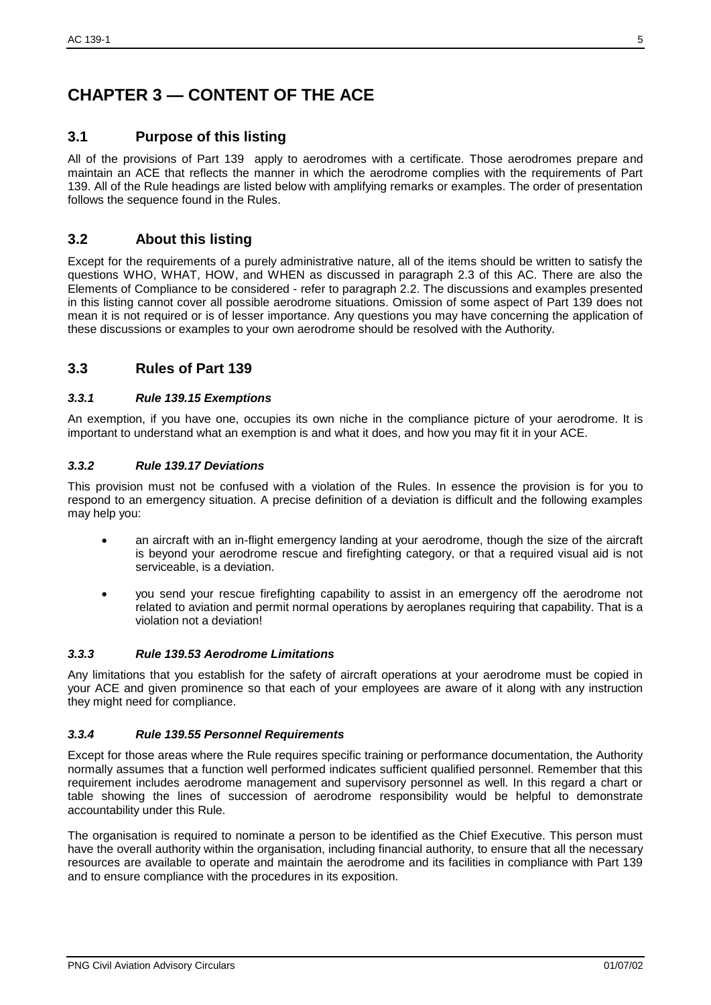# **CHAPTER 3 — CONTENT OF THE ACE**

#### **3.1 Purpose of this listing**

All of the provisions of Part 139 apply to aerodromes with a certificate. Those aerodromes prepare and maintain an ACE that reflects the manner in which the aerodrome complies with the requirements of Part 139. All of the Rule headings are listed below with amplifying remarks or examples. The order of presentation follows the sequence found in the Rules.

#### **3.2 About this listing**

Except for the requirements of a purely administrative nature, all of the items should be written to satisfy the questions WHO, WHAT, HOW, and WHEN as discussed in paragraph 2.3 of this AC. There are also the Elements of Compliance to be considered - refer to paragraph 2.2. The discussions and examples presented in this listing cannot cover all possible aerodrome situations. Omission of some aspect of Part 139 does not mean it is not required or is of lesser importance. Any questions you may have concerning the application of these discussions or examples to your own aerodrome should be resolved with the Authority.

#### **3.3 Rules of Part 139**

#### *3.3.1 Rule 139.15 Exemptions*

An exemption, if you have one, occupies its own niche in the compliance picture of your aerodrome. It is important to understand what an exemption is and what it does, and how you may fit it in your ACE.

#### *3.3.2 Rule 139.17 Deviations*

This provision must not be confused with a violation of the Rules. In essence the provision is for you to respond to an emergency situation. A precise definition of a deviation is difficult and the following examples may help you:

- an aircraft with an in-flight emergency landing at your aerodrome, though the size of the aircraft is beyond your aerodrome rescue and firefighting category, or that a required visual aid is not serviceable, is a deviation.
- you send your rescue firefighting capability to assist in an emergency off the aerodrome not related to aviation and permit normal operations by aeroplanes requiring that capability. That is a violation not a deviation!

#### *3.3.3 Rule 139.53 Aerodrome Limitations*

Any limitations that you establish for the safety of aircraft operations at your aerodrome must be copied in your ACE and given prominence so that each of your employees are aware of it along with any instruction they might need for compliance.

#### *3.3.4 Rule 139.55 Personnel Requirements*

Except for those areas where the Rule requires specific training or performance documentation, the Authority normally assumes that a function well performed indicates sufficient qualified personnel. Remember that this requirement includes aerodrome management and supervisory personnel as well. In this regard a chart or table showing the lines of succession of aerodrome responsibility would be helpful to demonstrate accountability under this Rule.

The organisation is required to nominate a person to be identified as the Chief Executive. This person must have the overall authority within the organisation, including financial authority, to ensure that all the necessary resources are available to operate and maintain the aerodrome and its facilities in compliance with Part 139 and to ensure compliance with the procedures in its exposition.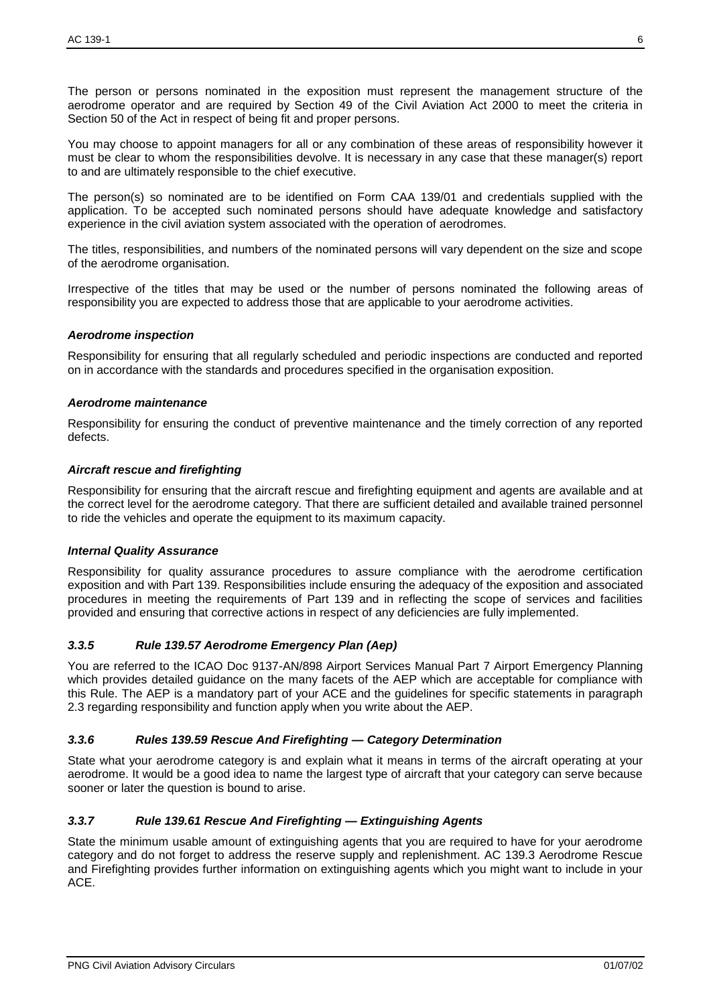The person or persons nominated in the exposition must represent the management structure of the aerodrome operator and are required by Section 49 of the Civil Aviation Act 2000 to meet the criteria in Section 50 of the Act in respect of being fit and proper persons.

You may choose to appoint managers for all or any combination of these areas of responsibility however it must be clear to whom the responsibilities devolve. It is necessary in any case that these manager(s) report to and are ultimately responsible to the chief executive.

The person(s) so nominated are to be identified on Form CAA 139/01 and credentials supplied with the application. To be accepted such nominated persons should have adequate knowledge and satisfactory experience in the civil aviation system associated with the operation of aerodromes.

The titles, responsibilities, and numbers of the nominated persons will vary dependent on the size and scope of the aerodrome organisation.

Irrespective of the titles that may be used or the number of persons nominated the following areas of responsibility you are expected to address those that are applicable to your aerodrome activities.

#### *Aerodrome inspection*

Responsibility for ensuring that all regularly scheduled and periodic inspections are conducted and reported on in accordance with the standards and procedures specified in the organisation exposition.

#### *Aerodrome maintenance*

Responsibility for ensuring the conduct of preventive maintenance and the timely correction of any reported defects.

#### *Aircraft rescue and firefighting*

Responsibility for ensuring that the aircraft rescue and firefighting equipment and agents are available and at the correct level for the aerodrome category. That there are sufficient detailed and available trained personnel to ride the vehicles and operate the equipment to its maximum capacity.

#### *Internal Quality Assurance*

Responsibility for quality assurance procedures to assure compliance with the aerodrome certification exposition and with Part 139. Responsibilities include ensuring the adequacy of the exposition and associated procedures in meeting the requirements of Part 139 and in reflecting the scope of services and facilities provided and ensuring that corrective actions in respect of any deficiencies are fully implemented.

#### *3.3.5 Rule 139.57 Aerodrome Emergency Plan (Aep)*

You are referred to the ICAO Doc 9137-AN/898 Airport Services Manual Part 7 Airport Emergency Planning which provides detailed guidance on the many facets of the AEP which are acceptable for compliance with this Rule. The AEP is a mandatory part of your ACE and the guidelines for specific statements in paragraph 2.3 regarding responsibility and function apply when you write about the AEP.

#### *3.3.6 Rules 139.59 Rescue And Firefighting — Category Determination*

State what your aerodrome category is and explain what it means in terms of the aircraft operating at your aerodrome. It would be a good idea to name the largest type of aircraft that your category can serve because sooner or later the question is bound to arise.

#### *3.3.7 Rule 139.61 Rescue And Firefighting — Extinguishing Agents*

State the minimum usable amount of extinguishing agents that you are required to have for your aerodrome category and do not forget to address the reserve supply and replenishment. AC 139.3 Aerodrome Rescue and Firefighting provides further information on extinguishing agents which you might want to include in your ACE.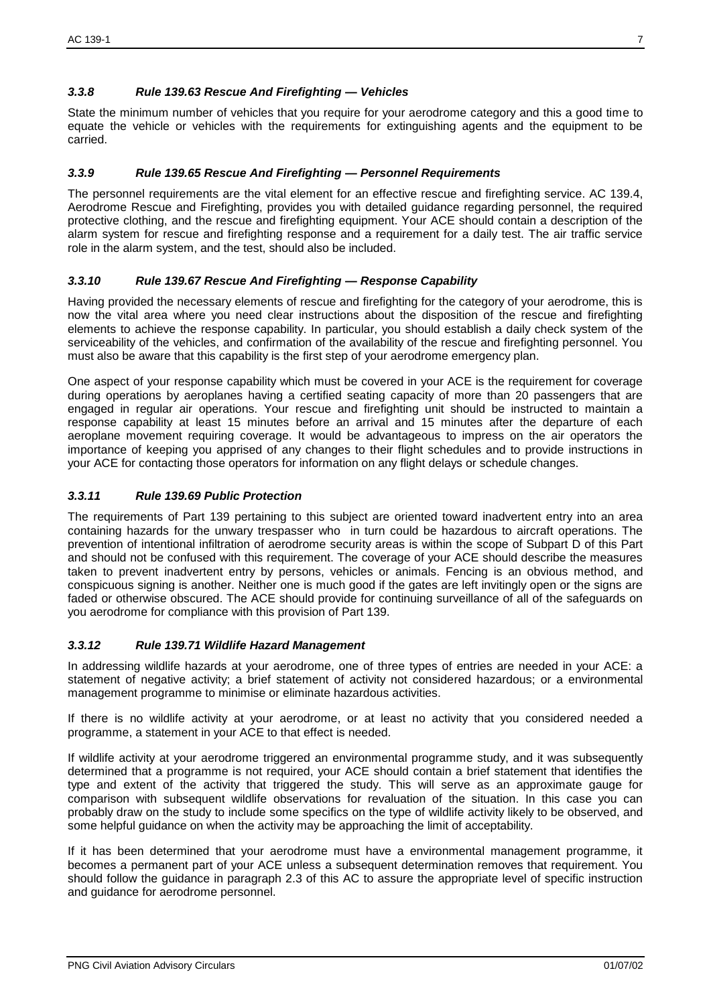#### *3.3.8 Rule 139.63 Rescue And Firefighting — Vehicles*

State the minimum number of vehicles that you require for your aerodrome category and this a good time to equate the vehicle or vehicles with the requirements for extinguishing agents and the equipment to be carried.

#### *3.3.9 Rule 139.65 Rescue And Firefighting — Personnel Requirements*

The personnel requirements are the vital element for an effective rescue and firefighting service. AC 139.4, Aerodrome Rescue and Firefighting, provides you with detailed guidance regarding personnel, the required protective clothing, and the rescue and firefighting equipment. Your ACE should contain a description of the alarm system for rescue and firefighting response and a requirement for a daily test. The air traffic service role in the alarm system, and the test, should also be included.

#### *3.3.10 Rule 139.67 Rescue And Firefighting — Response Capability*

Having provided the necessary elements of rescue and firefighting for the category of your aerodrome, this is now the vital area where you need clear instructions about the disposition of the rescue and firefighting elements to achieve the response capability. In particular, you should establish a daily check system of the serviceability of the vehicles, and confirmation of the availability of the rescue and firefighting personnel. You must also be aware that this capability is the first step of your aerodrome emergency plan.

One aspect of your response capability which must be covered in your ACE is the requirement for coverage during operations by aeroplanes having a certified seating capacity of more than 20 passengers that are engaged in regular air operations. Your rescue and firefighting unit should be instructed to maintain a response capability at least 15 minutes before an arrival and 15 minutes after the departure of each aeroplane movement requiring coverage. It would be advantageous to impress on the air operators the importance of keeping you apprised of any changes to their flight schedules and to provide instructions in your ACE for contacting those operators for information on any flight delays or schedule changes.

#### *3.3.11 Rule 139.69 Public Protection*

The requirements of Part 139 pertaining to this subject are oriented toward inadvertent entry into an area containing hazards for the unwary trespasser who in turn could be hazardous to aircraft operations. The prevention of intentional infiltration of aerodrome security areas is within the scope of Subpart D of this Part and should not be confused with this requirement. The coverage of your ACE should describe the measures taken to prevent inadvertent entry by persons, vehicles or animals. Fencing is an obvious method, and conspicuous signing is another. Neither one is much good if the gates are left invitingly open or the signs are faded or otherwise obscured. The ACE should provide for continuing surveillance of all of the safeguards on you aerodrome for compliance with this provision of Part 139.

#### *3.3.12 Rule 139.71 Wildlife Hazard Management*

In addressing wildlife hazards at your aerodrome, one of three types of entries are needed in your ACE: a statement of negative activity; a brief statement of activity not considered hazardous; or a environmental management programme to minimise or eliminate hazardous activities.

If there is no wildlife activity at your aerodrome, or at least no activity that you considered needed a programme, a statement in your ACE to that effect is needed.

If wildlife activity at your aerodrome triggered an environmental programme study, and it was subsequently determined that a programme is not required, your ACE should contain a brief statement that identifies the type and extent of the activity that triggered the study. This will serve as an approximate gauge for comparison with subsequent wildlife observations for revaluation of the situation. In this case you can probably draw on the study to include some specifics on the type of wildlife activity likely to be observed, and some helpful guidance on when the activity may be approaching the limit of acceptability.

If it has been determined that your aerodrome must have a environmental management programme, it becomes a permanent part of your ACE unless a subsequent determination removes that requirement. You should follow the guidance in paragraph 2.3 of this AC to assure the appropriate level of specific instruction and guidance for aerodrome personnel.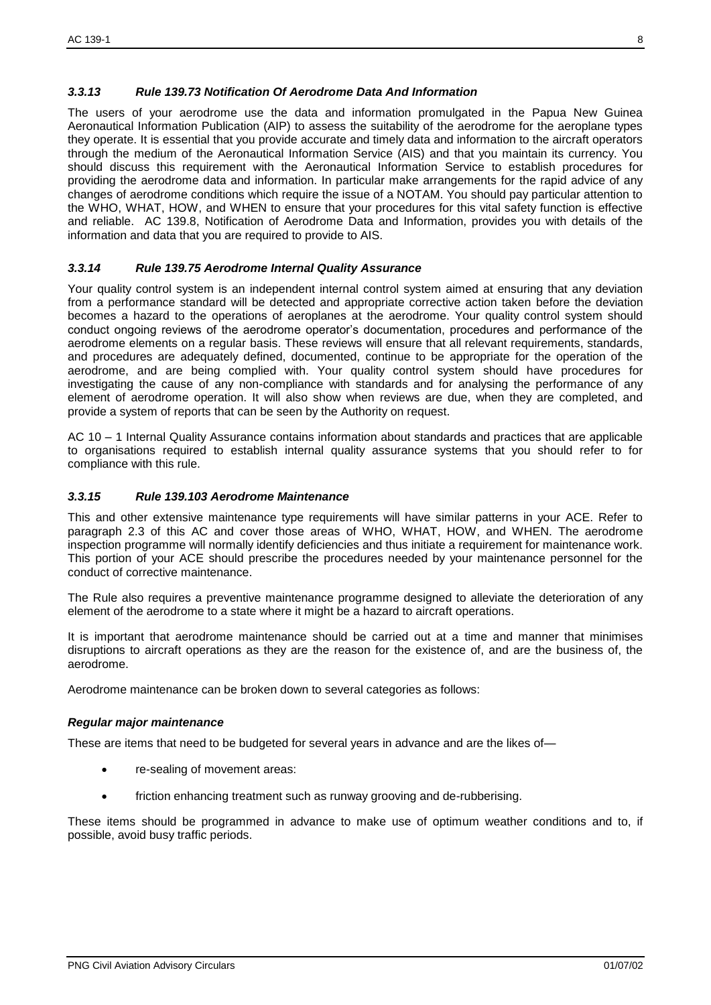#### *3.3.13 Rule 139.73 Notification Of Aerodrome Data And Information*

The users of your aerodrome use the data and information promulgated in the Papua New Guinea Aeronautical Information Publication (AIP) to assess the suitability of the aerodrome for the aeroplane types they operate. It is essential that you provide accurate and timely data and information to the aircraft operators through the medium of the Aeronautical Information Service (AIS) and that you maintain its currency. You should discuss this requirement with the Aeronautical Information Service to establish procedures for providing the aerodrome data and information. In particular make arrangements for the rapid advice of any changes of aerodrome conditions which require the issue of a NOTAM. You should pay particular attention to the WHO, WHAT, HOW, and WHEN to ensure that your procedures for this vital safety function is effective and reliable. AC 139.8, Notification of Aerodrome Data and Information, provides you with details of the information and data that you are required to provide to AIS.

#### *3.3.14 Rule 139.75 Aerodrome Internal Quality Assurance*

Your quality control system is an independent internal control system aimed at ensuring that any deviation from a performance standard will be detected and appropriate corrective action taken before the deviation becomes a hazard to the operations of aeroplanes at the aerodrome. Your quality control system should conduct ongoing reviews of the aerodrome operator's documentation, procedures and performance of the aerodrome elements on a regular basis. These reviews will ensure that all relevant requirements, standards, and procedures are adequately defined, documented, continue to be appropriate for the operation of the aerodrome, and are being complied with. Your quality control system should have procedures for investigating the cause of any non-compliance with standards and for analysing the performance of any element of aerodrome operation. It will also show when reviews are due, when they are completed, and provide a system of reports that can be seen by the Authority on request.

AC 10 – 1 Internal Quality Assurance contains information about standards and practices that are applicable to organisations required to establish internal quality assurance systems that you should refer to for compliance with this rule.

#### *3.3.15 Rule 139.103 Aerodrome Maintenance*

This and other extensive maintenance type requirements will have similar patterns in your ACE. Refer to paragraph 2.3 of this AC and cover those areas of WHO, WHAT, HOW, and WHEN. The aerodrome inspection programme will normally identify deficiencies and thus initiate a requirement for maintenance work. This portion of your ACE should prescribe the procedures needed by your maintenance personnel for the conduct of corrective maintenance.

The Rule also requires a preventive maintenance programme designed to alleviate the deterioration of any element of the aerodrome to a state where it might be a hazard to aircraft operations.

It is important that aerodrome maintenance should be carried out at a time and manner that minimises disruptions to aircraft operations as they are the reason for the existence of, and are the business of, the aerodrome.

Aerodrome maintenance can be broken down to several categories as follows:

#### *Regular major maintenance*

These are items that need to be budgeted for several years in advance and are the likes of—

- re-sealing of movement areas:
- friction enhancing treatment such as runway grooving and de-rubberising.

These items should be programmed in advance to make use of optimum weather conditions and to, if possible, avoid busy traffic periods.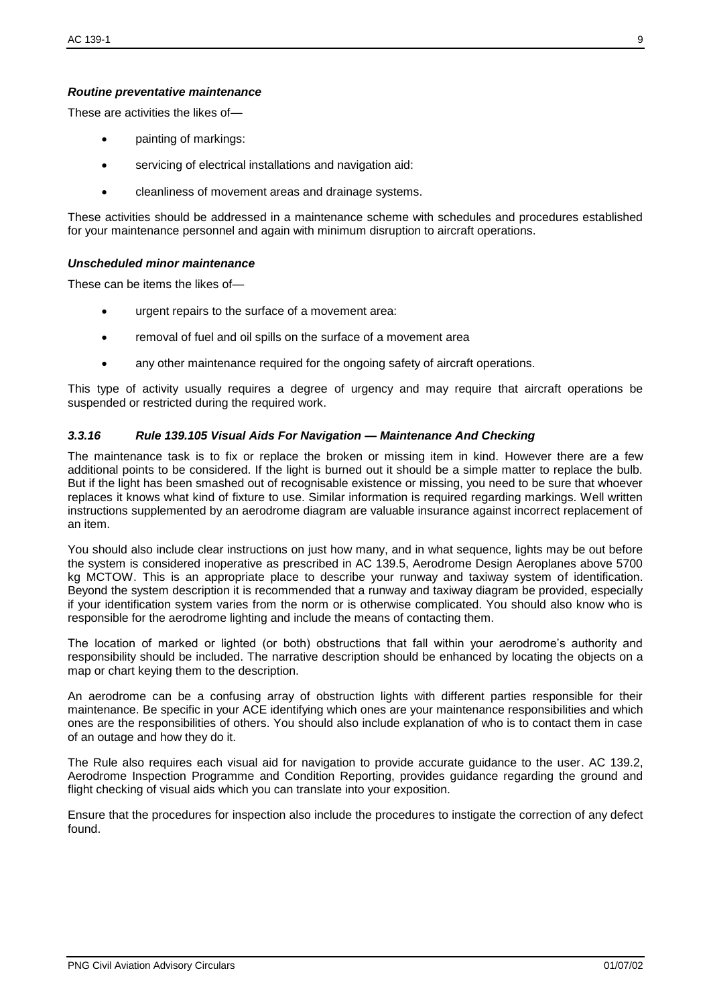#### *Routine preventative maintenance*

These are activities the likes of—

- painting of markings:
- servicing of electrical installations and navigation aid:
- cleanliness of movement areas and drainage systems.

These activities should be addressed in a maintenance scheme with schedules and procedures established for your maintenance personnel and again with minimum disruption to aircraft operations.

#### *Unscheduled minor maintenance*

These can be items the likes of—

- urgent repairs to the surface of a movement area:
- removal of fuel and oil spills on the surface of a movement area
- any other maintenance required for the ongoing safety of aircraft operations.

This type of activity usually requires a degree of urgency and may require that aircraft operations be suspended or restricted during the required work.

#### *3.3.16 Rule 139.105 Visual Aids For Navigation — Maintenance And Checking*

The maintenance task is to fix or replace the broken or missing item in kind. However there are a few additional points to be considered. If the light is burned out it should be a simple matter to replace the bulb. But if the light has been smashed out of recognisable existence or missing, you need to be sure that whoever replaces it knows what kind of fixture to use. Similar information is required regarding markings. Well written instructions supplemented by an aerodrome diagram are valuable insurance against incorrect replacement of an item.

You should also include clear instructions on just how many, and in what sequence, lights may be out before the system is considered inoperative as prescribed in AC 139.5, Aerodrome Design Aeroplanes above 5700 kg MCTOW. This is an appropriate place to describe your runway and taxiway system of identification. Beyond the system description it is recommended that a runway and taxiway diagram be provided, especially if your identification system varies from the norm or is otherwise complicated. You should also know who is responsible for the aerodrome lighting and include the means of contacting them.

The location of marked or lighted (or both) obstructions that fall within your aerodrome's authority and responsibility should be included. The narrative description should be enhanced by locating the objects on a map or chart keying them to the description.

An aerodrome can be a confusing array of obstruction lights with different parties responsible for their maintenance. Be specific in your ACE identifying which ones are your maintenance responsibilities and which ones are the responsibilities of others. You should also include explanation of who is to contact them in case of an outage and how they do it.

The Rule also requires each visual aid for navigation to provide accurate guidance to the user. AC 139.2, Aerodrome Inspection Programme and Condition Reporting, provides guidance regarding the ground and flight checking of visual aids which you can translate into your exposition.

Ensure that the procedures for inspection also include the procedures to instigate the correction of any defect found.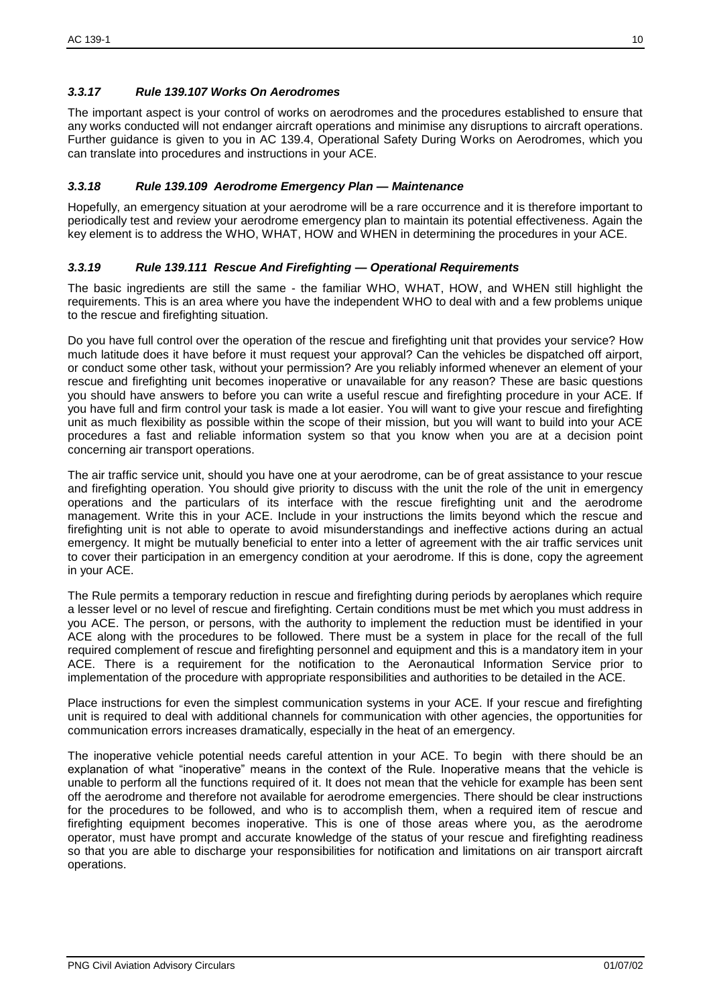#### *3.3.17 Rule 139.107 Works On Aerodromes*

The important aspect is your control of works on aerodromes and the procedures established to ensure that any works conducted will not endanger aircraft operations and minimise any disruptions to aircraft operations. Further guidance is given to you in AC 139.4, Operational Safety During Works on Aerodromes, which you can translate into procedures and instructions in your ACE.

#### *3.3.18 Rule 139.109 Aerodrome Emergency Plan — Maintenance*

Hopefully, an emergency situation at your aerodrome will be a rare occurrence and it is therefore important to periodically test and review your aerodrome emergency plan to maintain its potential effectiveness. Again the key element is to address the WHO, WHAT, HOW and WHEN in determining the procedures in your ACE.

#### *3.3.19 Rule 139.111 Rescue And Firefighting — Operational Requirements*

The basic ingredients are still the same - the familiar WHO, WHAT, HOW, and WHEN still highlight the requirements. This is an area where you have the independent WHO to deal with and a few problems unique to the rescue and firefighting situation.

Do you have full control over the operation of the rescue and firefighting unit that provides your service? How much latitude does it have before it must request your approval? Can the vehicles be dispatched off airport, or conduct some other task, without your permission? Are you reliably informed whenever an element of your rescue and firefighting unit becomes inoperative or unavailable for any reason? These are basic questions you should have answers to before you can write a useful rescue and firefighting procedure in your ACE. If you have full and firm control your task is made a lot easier. You will want to give your rescue and firefighting unit as much flexibility as possible within the scope of their mission, but you will want to build into your ACE procedures a fast and reliable information system so that you know when you are at a decision point concerning air transport operations.

The air traffic service unit, should you have one at your aerodrome, can be of great assistance to your rescue and firefighting operation. You should give priority to discuss with the unit the role of the unit in emergency operations and the particulars of its interface with the rescue firefighting unit and the aerodrome management. Write this in your ACE. Include in your instructions the limits beyond which the rescue and firefighting unit is not able to operate to avoid misunderstandings and ineffective actions during an actual emergency. It might be mutually beneficial to enter into a letter of agreement with the air traffic services unit to cover their participation in an emergency condition at your aerodrome. If this is done, copy the agreement in your ACE.

The Rule permits a temporary reduction in rescue and firefighting during periods by aeroplanes which require a lesser level or no level of rescue and firefighting. Certain conditions must be met which you must address in you ACE. The person, or persons, with the authority to implement the reduction must be identified in your ACE along with the procedures to be followed. There must be a system in place for the recall of the full required complement of rescue and firefighting personnel and equipment and this is a mandatory item in your ACE. There is a requirement for the notification to the Aeronautical Information Service prior to implementation of the procedure with appropriate responsibilities and authorities to be detailed in the ACE.

Place instructions for even the simplest communication systems in your ACE. If your rescue and firefighting unit is required to deal with additional channels for communication with other agencies, the opportunities for communication errors increases dramatically, especially in the heat of an emergency.

The inoperative vehicle potential needs careful attention in your ACE. To begin with there should be an explanation of what "inoperative" means in the context of the Rule. Inoperative means that the vehicle is unable to perform all the functions required of it. It does not mean that the vehicle for example has been sent off the aerodrome and therefore not available for aerodrome emergencies. There should be clear instructions for the procedures to be followed, and who is to accomplish them, when a required item of rescue and firefighting equipment becomes inoperative. This is one of those areas where you, as the aerodrome operator, must have prompt and accurate knowledge of the status of your rescue and firefighting readiness so that you are able to discharge your responsibilities for notification and limitations on air transport aircraft operations.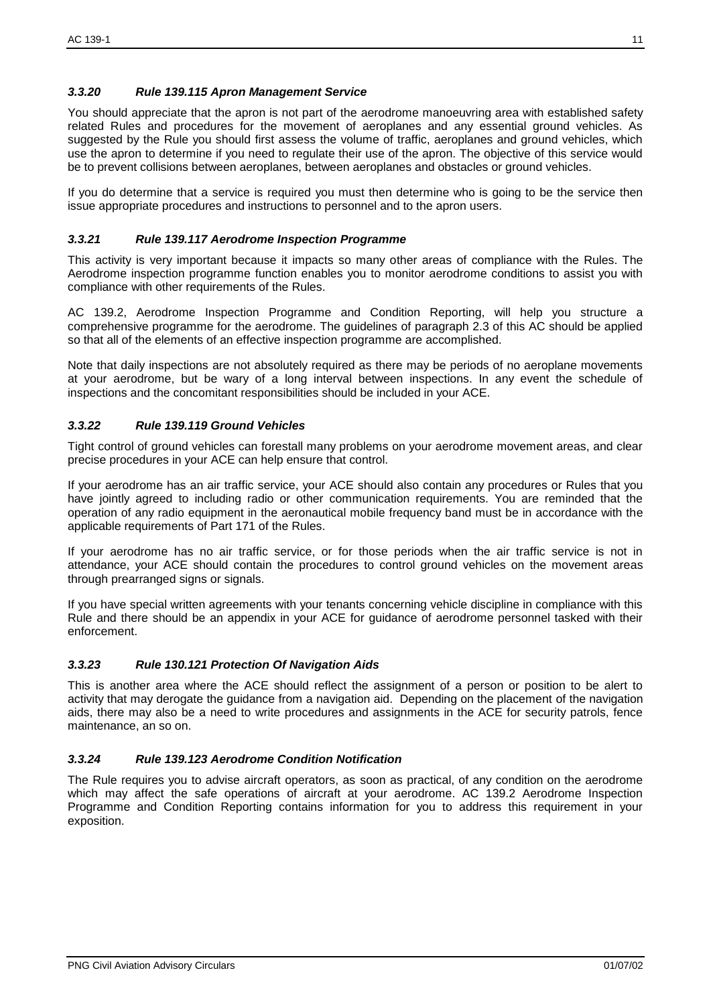#### *3.3.20 Rule 139.115 Apron Management Service*

You should appreciate that the apron is not part of the aerodrome manoeuvring area with established safety related Rules and procedures for the movement of aeroplanes and any essential ground vehicles. As suggested by the Rule you should first assess the volume of traffic, aeroplanes and ground vehicles, which use the apron to determine if you need to regulate their use of the apron. The objective of this service would be to prevent collisions between aeroplanes, between aeroplanes and obstacles or ground vehicles.

If you do determine that a service is required you must then determine who is going to be the service then issue appropriate procedures and instructions to personnel and to the apron users.

#### *3.3.21 Rule 139.117 Aerodrome Inspection Programme*

This activity is very important because it impacts so many other areas of compliance with the Rules. The Aerodrome inspection programme function enables you to monitor aerodrome conditions to assist you with compliance with other requirements of the Rules.

AC 139.2, Aerodrome Inspection Programme and Condition Reporting, will help you structure a comprehensive programme for the aerodrome. The guidelines of paragraph 2.3 of this AC should be applied so that all of the elements of an effective inspection programme are accomplished.

Note that daily inspections are not absolutely required as there may be periods of no aeroplane movements at your aerodrome, but be wary of a long interval between inspections. In any event the schedule of inspections and the concomitant responsibilities should be included in your ACE.

#### *3.3.22 Rule 139.119 Ground Vehicles*

Tight control of ground vehicles can forestall many problems on your aerodrome movement areas, and clear precise procedures in your ACE can help ensure that control.

If your aerodrome has an air traffic service, your ACE should also contain any procedures or Rules that you have jointly agreed to including radio or other communication requirements. You are reminded that the operation of any radio equipment in the aeronautical mobile frequency band must be in accordance with the applicable requirements of Part 171 of the Rules.

If your aerodrome has no air traffic service, or for those periods when the air traffic service is not in attendance, your ACE should contain the procedures to control ground vehicles on the movement areas through prearranged signs or signals.

If you have special written agreements with your tenants concerning vehicle discipline in compliance with this Rule and there should be an appendix in your ACE for guidance of aerodrome personnel tasked with their enforcement.

#### *3.3.23 Rule 130.121 Protection Of Navigation Aids*

This is another area where the ACE should reflect the assignment of a person or position to be alert to activity that may derogate the guidance from a navigation aid. Depending on the placement of the navigation aids, there may also be a need to write procedures and assignments in the ACE for security patrols, fence maintenance, an so on.

#### *3.3.24 Rule 139.123 Aerodrome Condition Notification*

The Rule requires you to advise aircraft operators, as soon as practical, of any condition on the aerodrome which may affect the safe operations of aircraft at your aerodrome. AC 139.2 Aerodrome Inspection Programme and Condition Reporting contains information for you to address this requirement in your exposition.